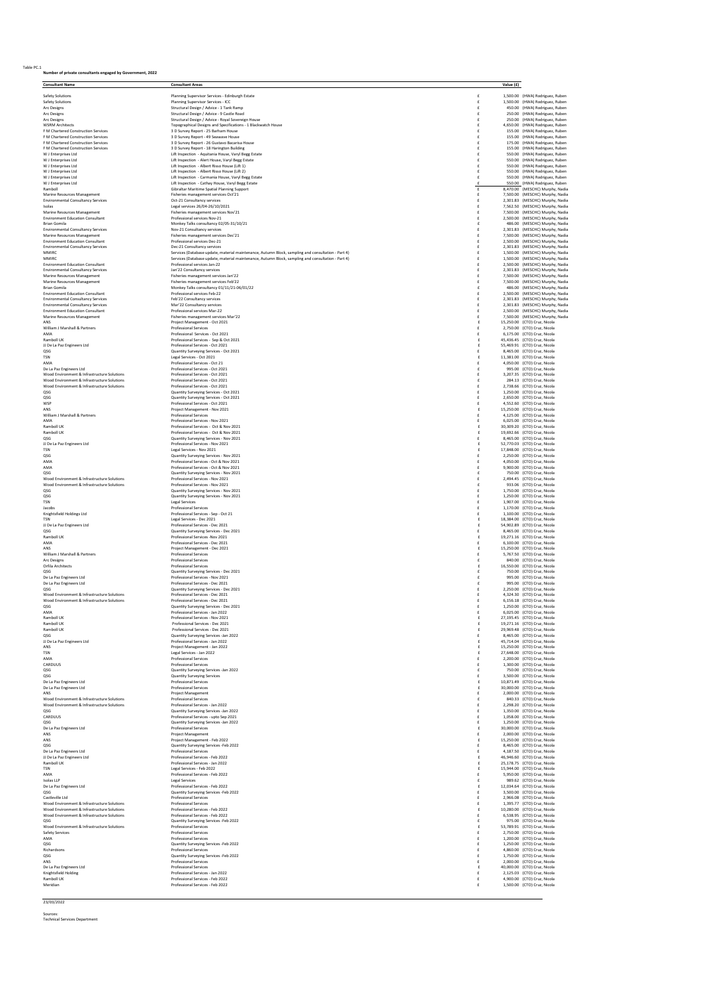## Table PC.1 **Number of private consultants engaged by Government, 2022**

|                                                                                                                                                                                         |                 | Value (£) |                                                                    |
|-----------------------------------------------------------------------------------------------------------------------------------------------------------------------------------------|-----------------|-----------|--------------------------------------------------------------------|
| Safety Solutions<br>Planning Supervisor Services - Edinburgh Estate                                                                                                                     | £               |           | 1,500.00 (HWA) Rodriguez, Ruben                                    |
| Safety Solutions<br>Planning Supervisor Services - ICC                                                                                                                                  | £               |           | 1,500.00 (HWA) Rodriguez, Ruben                                    |
| Structural Design / Advice - 1 Tank Ramp<br>Arc Designs                                                                                                                                 | £               |           | 450.00 (HWA) Rodriguez, Ruben                                      |
| Arc Designs<br>Structural Design / Advice - 9 Castle Road<br>Arc Designs<br>Structural Design / Advice - Royal Sovereign House                                                          | £<br>£          |           | 250.00 (HWA) Rodriguez, Ruben<br>250.00 (HWA) Rodriguez, Ruben     |
| <b>WSRM Architects</b><br>Topographical Designs and Specifications - 1 Blackwatch House                                                                                                 |                 |           | 4,650.00 (HWA) Rodriguez, Ruben                                    |
| 3 D Survey Report - 25 Barham House<br>F M Chartered Construction Services<br>F M Chartered Construction Services<br>3 D Survey Report - 49 Seawave House                               | £<br>£          |           | 155.00 (HWA) Rodriguez, Ruben<br>155.00 (HWA) Rodriguez, Ruben     |
| 3 D Survey Report - 26 Gustavo Bacarisa House<br>F M Chartered Construction Services                                                                                                    |                 |           | 175.00 (HWA) Rodriguez, Ruben                                      |
| 3 D Survey Report - 18 Harington Building<br>F M Chartered Construction Services                                                                                                        | £               |           | 155.00 (HWA) Rodriguez, Ruben                                      |
| Lift Inspection - Aquitania House, Varyl Begg Estate<br>W J Enterprises Ltd<br>W J Enterprises Ltd<br>Lift Inspection - Alert House, Varyl Begg Estate                                  | £<br>£          |           | 550.00 (HWA) Rodriguez, Ruben<br>550.00 (HWA) Rodriguez, Ruben     |
| W J Enterprises Ltd<br>Lift Inspection - Albert Risso House (Lift 1)                                                                                                                    | £               |           | 550.00 (HWA) Rodriguez, Ruben                                      |
| Lift Inspection - Albert Risso House (Lift 2)<br>W J Enterprises Ltd<br>W J Enterprises Ltd<br>Lift Inspection - Carmania House, Varyl Begg Estate                                      | £<br>£          |           | 550.00 (HWA) Rodriguez, Ruben<br>550.00 (HWA) Rodriguez, Ruben     |
| W J Enterprises Ltd<br>Lift Inspection - Cathay House, Varyl Begg Estate                                                                                                                | £               |           | 550.00 (HWA) Rodriguez, Ruben                                      |
| Ramboll<br>Gibraltar Maritime Spatial Planning Support                                                                                                                                  | £               |           | 8,470.00 (MESCHC) Murphy, Nadia                                    |
| Marine Resources Management<br>Fisheries management services Oct'21<br><b>Environmental Consultancy Services</b><br>Oct-21 Consultancy services                                         | £<br>£          |           | 7,500.00 (MESCHC) Murphy, Nadia<br>2,301.83 (MESCHC) Murphy, Nadia |
| Isolas<br>Legal services 26/04-26/10/2021                                                                                                                                               | £               |           | 7,562.50 (MESCHC) Murphy, Nadia                                    |
| Marine Resources Management<br>Fisheries management services Nov'21                                                                                                                     | £               |           | 7,500.00 (MESCHC) Murphy, Nadia                                    |
| <b>Environment Education Consultant</b><br>Professional services Nov-21<br><b>Brian Gomila</b><br>Monkey Talks consultancy 02/05-31/10/21                                               | £<br>$\ddot{f}$ |           | 2,500.00 (MESCHC) Murphy, Nadia<br>486.00 (MESCHC) Murphy, Nadia   |
| <b>Environmental Consultancy Services</b><br>Nov-21 Consultancy services                                                                                                                | £               |           | 2,301.83 (MESCHC) Murphy, Nadia                                    |
| Marine Resources Management<br>Fisheries management services Dec'21                                                                                                                     | £               |           | 7.500.00 (MESCHC) Murphy, Nadia                                    |
| <b>Environment Education Consultant</b><br>Professional services Dec-21                                                                                                                 | £               |           | 2,500.00 (MESCHC) Murphy, Nadia                                    |
| <b>Environmental Consultancy Services</b><br>Dec-21 Consultancy services<br>Services (Database update, material maintenance, Autumn Block, sampling and consultation - Part 4)<br>MMIRC | £<br>£          |           | 2,301.83 (MESCHC) Murphy, Nadia<br>1,500.00 (MESCHC) Murphy, Nadia |
| <b>MMIRC</b><br>Services (Database update, material maintenance, Autumn Block, sampling and consultation - Part 4)                                                                      | £               |           | 1,500.00 (MESCHC) Murphy, Nadia                                    |
| <b>Environment Education Consultant</b><br>Professional services Jan-22<br><b>Environmental Consultancy Services</b><br>Jan'22 Consultancy services                                     | £               |           | 2,500.00 (MESCHC) Murphy, Nadia                                    |
| Marine Resources Management<br>Fisheries management services Jan'22                                                                                                                     | £               |           | 2,301.83 (MESCHC) Murphy, Nadia<br>7,500.00 (MESCHC) Murphy, Nadia |
| Marine Resources Management<br>Fisheries management services Feb'22                                                                                                                     | £               |           | 7,500.00 (MESCHC) Murphy, Nadia                                    |
| <b>Brian Gomila</b><br>Monkey Talks consultancy 01/11/21-06/01/22                                                                                                                       |                 |           | 486.00 (MESCHC) Murphy, Nadia                                      |
| <b>Environment Education Consultant</b><br>Professional services Feb-22<br><b>Environmental Consultancy Services</b><br>Feb'22 Consultancy services                                     | £<br>£          |           | 2,500.00 (MESCHC) Murphy, Nadia<br>2,301.83 (MESCHC) Murphy, Nadia |
| <b>Environmental Consultancy Services</b><br>Mar'22 Consultancy services                                                                                                                | £               |           | 2,301.83 (MESCHC) Murphy, Nadia                                    |
| <b>Environment Education Consultant</b><br>Professional services Mar-22<br>Fisheries management services Mar'22                                                                         | £               |           | 2,500.00 (MESCHC) Murphy, Nadia                                    |
| Marine Resources Management<br>ANS<br>Project Management - Oct 2021                                                                                                                     | £<br>f          |           | 7,500.00 (MESCHC) Murphy, Nadia<br>15.250.00 (CTO) Cruz. Nicola    |
| William J Marshall & Partners<br>Professional Services                                                                                                                                  | £               |           | 2,750.00 (CTO) Cruz, Nicola                                        |
| Professional Services - Oct 2021<br>AMA                                                                                                                                                 | £               |           | 6.175.00 (CTO) Cruz, Nicola<br>45.436.45 (CTO) Cruz Nicola         |
| Ramboll UK<br>Professional Services - Sep & Oct 2021<br>JJ De La Paz Engineers Ltd<br>Professional Services - Oct 2021                                                                  | £<br>f          |           | 55,469.91 (CTO) Cruz, Nicola                                       |
| QSG<br>Quantity Surveying Services - Oct 2021                                                                                                                                           |                 |           | 8,465.00 (CTO) Cruz, Nicola                                        |
| TSN<br>Legal Services - Oct 2021                                                                                                                                                        | £               |           | 11,381.00 (CTO) Cruz, Nicola                                       |
| AMA<br>Professional Services - Oct 21<br>Professional Services - Oct 2021<br>De La Paz Engineers Ltd                                                                                    | £               |           | 4.050.00 (CTO) Cruz. Nicola<br>995.00 (CTO) Cruz, Nicola           |
| Professional Services - Oct 2021<br>Wood Environment & Infrastructure Solutions                                                                                                         | £               |           | 3,207.35 (CTO) Cruz, Nicola                                        |
| Wood Environment & Infrastructure Solutions<br>Professional Services - Oct 2021                                                                                                         | £               |           | 284.13 (CTO) Cruz Nicola                                           |
| Wood Environment & Infrastructure Solutions<br>Professional Services - Oct 2021<br>QSG<br>Quantity Surveying Services - Oct 2021                                                        | £               |           | 2,738.66 (CTO) Cruz, Nicola<br>1,250.00 (CTO) Cruz, Nicola         |
| Quantity Surveying Services - Oct 2021<br>QSG                                                                                                                                           | £               |           | 2,650.00 (CTO) Cruz, Nicola                                        |
| WSP<br>Professional Services - Oct 2021                                                                                                                                                 | £               |           | 4.552.60 (CTO) Cruz. Nicola                                        |
| ANS<br>Project Management - Nov 2021                                                                                                                                                    | f               |           | 15,250.00 (CTO) Cruz, Nicola                                       |
| William J Marshall & Partners<br>Professional Services<br>Professional Services - Nov 2021<br>AMA                                                                                       | £<br>£          |           | 4,125.00 (CTO) Cruz, Nicola<br>6.025.00 (CTO) Cruz. Nicola         |
| Ramboll UK<br>Professional Services - Oct & Nov 2021                                                                                                                                    | f               |           | 30,309.20 (CTO) Cruz, Nicola                                       |
| Ramboll UK<br>Professional Services - Oct & Nov 2021                                                                                                                                    | £               |           | 19,692.66 (CTO) Cruz, Nicola                                       |
| Quantity Surveying Services - Nov 2021<br>QSG<br>IJ De La Paz Engineers Ltd<br>Professional Services - Nov 2021                                                                         | £               |           | 8,465.00 (CTO) Cruz, Nicola<br>52.770.03 (CTO) Cruz. Nicola        |
| TSN<br>Legal Services - Nov 2021                                                                                                                                                        | f               |           | 17,848.00 (CTO) Cruz, Nicola                                       |
| QSG<br>Quantity Surveying Services - Nov 2021                                                                                                                                           | £               |           | 2,250.00 (CTO) Cruz, Nicola                                        |
| AMA<br>Professional Services - Oct & Nov 2021<br>AMA<br>Professional Services - Oct & Nov 2021                                                                                          | £<br>£          |           | 4.050.00 (CTO) Cruz. Nicola<br>9,900.00 (CTO) Cruz, Nicola         |
| QSG<br>Quantity Surveying Services - Nov 2021                                                                                                                                           |                 |           | 750.00 (CTO) Cruz, Nicola                                          |
| Wood Environment & Infrastructure Solutions<br>Professional Services - Nov 2021                                                                                                         | £               |           | 2,494.45 (CTO) Cruz, Nicola                                        |
| Wood Environment & Infrastructure Solutions<br>Professional Services - Nov 2021<br>QSG<br>Quantity Surveying Services - Nov 2021                                                        | £<br>£          |           | 933.06 (CTO) Cruz, Nicola<br>1,750.00 (CTO) Cruz, Nicola           |
| QSG<br>Quantity Surveying Services - Nov 2021                                                                                                                                           |                 |           | 1,250.00 (CTO) Cruz, Nicola                                        |
| TSN<br>Legal Services                                                                                                                                                                   | £               |           | 1,907.00 (CTO) Cruz, Nicola                                        |
| Jacobs<br>Professional Services<br>Knightsfield Holdings Ltd<br>Professional Services - Sep - Oct 21                                                                                    | £               |           | 1,170.00 (CTO) Cruz, Nicola<br>1,100.00 (CTO) Cruz, Nicola         |
| TSN<br>Legal Services - Dec 2021                                                                                                                                                        | £               |           | 18,384.00 (CTO) Cruz, Nicola                                       |
| Professional Services - Dec 2021<br>JJ De La Paz Engineers Ltd                                                                                                                          | £               |           | 54.902.89 (CTO) Cruz, Nicola                                       |
| Quantity Surveying Services - Dec 2021<br>QSG<br>Ramboll UK<br>Professional Services - Nov 2021                                                                                         | £               |           | 8,465.00 (CTO) Cruz, Nicola<br>19.271.16 (CTO) Cruz, Nicola        |
| Professional Services - Dec 2021<br>AMA                                                                                                                                                 | £               |           | 6.100.00 (CTO) Cruz, Nicola                                        |
| ANS<br>Project Management - Dec 2021                                                                                                                                                    | $\epsilon$      |           | 15,250.00 (CTO) Cruz, Nicola                                       |
| William J Marshall & Partners<br>Professional Services<br>Professional Services<br>Arc Designs                                                                                          | £<br>£          |           | 5,767.50 (CTO) Cruz, Nicola<br>840.00 (CTO) Cruz, Nicola           |
| Orfila Architects<br><b>Professional Services</b>                                                                                                                                       | £               |           | 16,550.00 (CTO) Cruz. Nicola                                       |
| QSG<br>Quantity Surveying Services - Dec 2021                                                                                                                                           |                 |           | 750.00 (CTO) Cruz, Nicola                                          |
| De La Paz Engineers Ltd<br>Professional Services - Nov 2021<br>De La Paz Engineers Ltd<br>Professional Services - Dec 2021                                                              | £               |           | 995.00 (CTO) Cruz. Nicola<br>995.00 (CTO) Cruz, Nicola             |
| Quantity Surveying Services - Dec 2021<br>OSG                                                                                                                                           | £               |           | 2.250.00 (CTO) Cruz. Nicola                                        |
| Wood Environment & Infrastructure Solutions<br>Professional Services - Dec 2021                                                                                                         | £               |           | 4,324.30 (CTO) Cruz, Nicola                                        |
| Wood Environment & Infrastructure Solutions<br>Professional Services - Dec 2021<br>OSG<br>Quantity Surveying Services - Dec 2021                                                        | £<br>£          |           | 6,156.18 (CTO) Cruz, Nicola<br>1.250.00 (CTO) Cruz. Nicola         |
| AMA<br>Professional Services - Jan 2022                                                                                                                                                 | £               |           | 6.025.00 (CTO) Cruz. Nicola                                        |
| Ramboll UK<br>Professional Services - Nov 2021                                                                                                                                          | £               |           | 27,195.45 (CTO) Cruz, Nicola                                       |
| Ramboll UK<br>Professional Services - Dec 2021<br>Ramboll UK<br>Professional Services - Dec 2021                                                                                        | £<br>£          |           | 19,271.16 (CTO) Cruz, Nicola<br>29 969 48 (CTO) Cruz, Nicola       |
| QSG<br>Quantity Surveying Services -Jan 2022                                                                                                                                            | £               |           | 8,465.00 (CTO) Cruz, Nicola                                        |
| IJ De La Paz Engineers Ltd<br>Professional Services - Jan 2022                                                                                                                          | £               |           | 45,714.04 (CTO) Cruz, Nicola<br>15.250.00 (CTO) Cruz Nicola        |
| ANS<br>Project Management - Jan 2022<br><b>TSN</b><br>Legal Services - Jan 2022                                                                                                         | £<br>$\epsilon$ |           | 27.648.00 (CTO) Cruz. Nicola                                       |
| <b>AMA</b><br>Professional Services                                                                                                                                                     | £               |           | 2.200.00 (CTO) Cruz. Nicola                                        |
| CARDUUS<br>Professional Services<br>OSG<br>Quantity Surveying Services -Jan 2022                                                                                                        | £<br>£          |           | 1,300.00 (CTO) Cruz, Nicola<br>750.00 (CTO) Cruz Nicola            |
| QSG<br>Quantity Surveying Services                                                                                                                                                      | £               |           | 3,500.00 (CTO) Cruz, Nicola                                        |
| De La Paz Engineers Ltd<br>Professional Services                                                                                                                                        | £               |           | 10,871.49 (CTO) Cruz, Nicola                                       |
| De La Paz Engineers Itd<br><b>Professional Services</b><br>ANS<br>Project Management                                                                                                    | £<br>£          |           | 30,000.00 (CTO) Cruz Nicola<br>2,000.00 (CTO) Cruz, Nicola         |
| Wood Environment & Infrastructure Solutions<br>Professional Services                                                                                                                    | £               |           | 840.33 (CTO) Cruz, Nicola                                          |
| Wood Environment & Infrastructure Solutions<br>Professional Services - Jan 2022                                                                                                         | £               |           | 2,298.20 (CTO) Cruz, Nicola                                        |
| OSG<br>Quantity Surveying Services -Jan 2022<br>CARDUUS<br>Professional Services - upto Sep 2021                                                                                        | £<br>£          |           | 1.350.00 (CTO) Cruz. Nicola<br>1,058.00 (CTO) Cruz, Nicola         |
| QSG<br>Quantity Surveying Services -Jan 2022                                                                                                                                            | £               |           | 1,250.00 (CTO) Cruz, Nicola                                        |
| De La Paz Engineers Ltd<br>Professional Services                                                                                                                                        | £<br>£          |           | 30,000.00 (CTO) Cruz, Nicola                                       |
| ANS<br>Project Management                                                                                                                                                               | £               |           | 2,000.00 (CTO) Cruz, Nicola<br>15,250.00 (CTO) Cruz, Nicola        |
|                                                                                                                                                                                         | £               |           | 8,465.00 (CTO) Cruz, Nicola                                        |
| ANS<br>Project Management - Feb 2022<br>Quantity Surveying Services -Feb 2022<br>QSG                                                                                                    |                 |           | 4.187.50 (CTO) Cruz Nicola<br>46.946.60 (CTO) Cruz, Nicola         |
| De La Paz Engineers Ltd<br>Professional Services                                                                                                                                        | £               |           |                                                                    |
| IJ De La Paz Engineers Ltd<br>Professional Services - Feb 2022<br>Ramboll UK<br>Professional Services - Jan 2022                                                                        | $\epsilon$<br>£ |           | 25,178.75 (CTO) Cruz, Nicola                                       |
| TSN<br>Legal Services - Feb 2022                                                                                                                                                        | £               |           | 15,944.00 (CTO) Cruz, Nicola                                       |
| AMA<br>Professional Services - Feb 2022                                                                                                                                                 | £               |           | 5,950.00 (CTO) Cruz, Nicola                                        |
| Isolas LLP<br>Legal Services<br>De La Paz Engineers Ltd<br>Professional Services - Feb 2022                                                                                             | £<br>£          |           | 989.62 (CTO) Cruz, Nicola<br>12,034.64 (CTO) Cruz, Nicola          |
| OSG<br>Quantity Surveying Services -Feb 2022                                                                                                                                            | £               |           | 3.500.00 (CTO) Cruz. Nicola                                        |
| Castleville Ltd<br>Professional Services                                                                                                                                                | £               |           | 2,966.08 (CTO) Cruz, Nicola                                        |
| Wood Environment & Infrastructure Solutions<br>Professional Services<br>Professional Services - Feb 2022<br>Wood Environment & Infrastructure Solutions                                 | £<br>£          |           | 1,395.77 (CTO) Cruz, Nicola<br>10,280.00 (CTO) Cruz, Nicola        |
| Wood Environment & Infrastructure Solutions<br>Professional Services - Feb 2022                                                                                                         | £               |           | 6.538.95 (CTO) Cruz, Nicola                                        |
| Quantity Surveying Services -Feb 2022<br>QSG                                                                                                                                            | £<br>£          |           | 975.00 (CTO) Cruz, Nicola                                          |
| Wood Environment & Infrastructure Solutions<br>Professional Services<br>Safety Services<br><b>Professional Services</b>                                                                 | £               |           | 53,789.91 (CTO) Cruz, Nicola<br>2.750.00 (CTO) Cruz, Nicola        |
| AMA<br>Professional Services                                                                                                                                                            | £               |           | 1,200.00 (CTO) Cruz, Nicola                                        |
| QSG<br>Quantity Surveying Services -Feb 2022                                                                                                                                            | £<br>£          |           | 1,250.00 (CTO) Cruz, Nicola                                        |
| Richardsons<br>Professional Services<br>Quantity Surveying Services -Feb 2022<br>OSG                                                                                                    | £               |           | 4,860.00 (CTO) Cruz, Nicola<br>1.750.00 (CTO) Cruz. Nicola         |
| ANS<br>Professional Services                                                                                                                                                            | £               |           | 2,000.00 (CTO) Cruz, Nicola                                        |
| De La Paz Engineers Ltd<br>Professional Services<br>Professional Services - Jan 2022<br>Knightsfield Holding                                                                            | £<br>£          |           | 40,000.00 (CTO) Cruz, Nicola<br>2.125.03 (CTO) Cruz. Nicola        |
| Ramboll UK<br>Professional Services - Feb 2022<br>Meridian<br>Professional Services - Feb 2022                                                                                          | £<br>£          |           | 4,900.00 (CTO) Cruz, Nicola<br>1,500.00 (CTO) Cruz, Nicola         |

23/03/2022

Sources: Technical Services Department